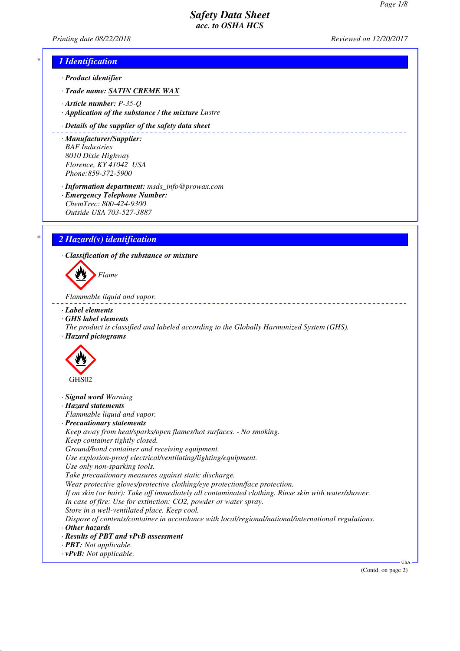<u>. . . . . . . . . . .</u>

*Printing date 08/22/2018 Reviewed on 12/20/2017*

### *\* 1 Identification*

*· Product identifier*

- *· Trade name: SATIN CREME WAX*
- *· Article number: P-35-Q*
- *· Application of the substance / the mixture Lustre*

### *· Details of the supplier of the safety data sheet*

*· Manufacturer/Supplier: BAF Industries 8010 Dixie Highway Florence, KY 41042 USA Phone:859-372-5900*

*· Information department: msds\_info@prowax.com · Emergency Telephone Number: ChemTrec: 800-424-9300 Outside USA 703-527-3887*

*\* 2 Hazard(s) identification*

*· Classification of the substance or mixture*



*Flammable liquid and vapor.* 

- *· Label elements*
- *· GHS label elements*
- *The product is classified and labeled according to the Globally Harmonized System (GHS). · Hazard pictograms*



- *· Signal word Warning*
- *· Hazard statements*

*Flammable liquid and vapor.*

*· Precautionary statements*

*Keep away from heat/sparks/open flames/hot surfaces. - No smoking. Keep container tightly closed. Ground/bond container and receiving equipment.*

*Use explosion-proof electrical/ventilating/lighting/equipment.*

*Use only non-sparking tools.*

*Take precautionary measures against static discharge.*

*Wear protective gloves/protective clothing/eye protection/face protection.*

*If on skin (or hair): Take off immediately all contaminated clothing. Rinse skin with water/shower. In case of fire: Use for extinction: CO2, powder or water spray.*

*Store in a well-ventilated place. Keep cool.*

*Dispose of contents/container in accordance with local/regional/national/international regulations.*

- *· Other hazards*
- *· Results of PBT and vPvB assessment*
- *· PBT: Not applicable.*
- *· vPvB: Not applicable.*

(Contd. on page 2)

USA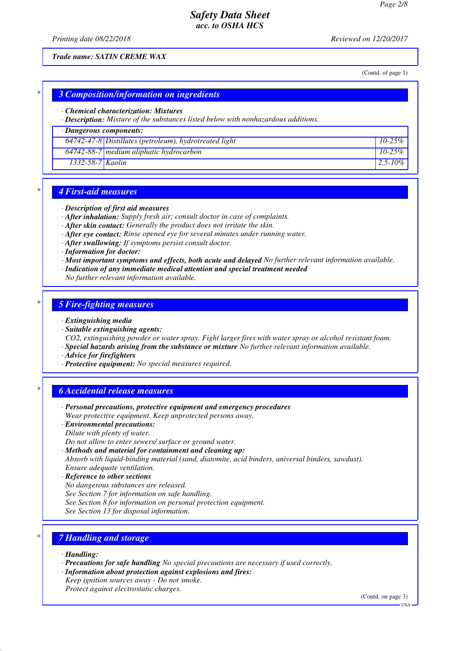*Printing date 08/22/2018 Reviewed on 12/20/2017*

*Trade name: SATIN CREME WAX*

(Contd. of page 1)

### *\* 3 Composition/information on ingredients*

#### *· Chemical characterization: Mixtures*

*· Description: Mixture of the substances listed below with nonhazardous additions.*

### *· Dangerous components:*

|                  | $64742-47-8$ Distillates (petroleum), hydrotreated light | $10-25\%$    |
|------------------|----------------------------------------------------------|--------------|
|                  | $64742-88-7$ medium aliphatic hydrocarbon                | $10-25\%$    |
| 1332-58-7 Kaolin |                                                          | $2.5 - 10\%$ |

### *\* 4 First-aid measures*

#### *· Description of first aid measures*

*· After inhalation: Supply fresh air; consult doctor in case of complaints.*

- *· After skin contact: Generally the product does not irritate the skin.*
- *· After eye contact: Rinse opened eye for several minutes under running water.*
- *· After swallowing: If symptoms persist consult doctor.*
- *· Information for doctor:*
- *· Most important symptoms and effects, both acute and delayed No further relevant information available.*
- *· Indication of any immediate medical attention and special treatment needed*
- *No further relevant information available.*

### *\* 5 Fire-fighting measures*

#### *· Extinguishing media*

- *· Suitable extinguishing agents:*
- *CO2, extinguishing powder or water spray. Fight larger fires with water spray or alcohol resistant foam. · Special hazards arising from the substance or mixture No further relevant information available.*
- *· Advice for firefighters*
- *· Protective equipment: No special measures required.*

### *\* 6 Accidental release measures*

- *· Personal precautions, protective equipment and emergency procedures Wear protective equipment. Keep unprotected persons away.*
- *· Environmental precautions: Dilute with plenty of water.*
- *Do not allow to enter sewers/ surface or ground water.*
- *· Methods and material for containment and cleaning up:*

*Absorb with liquid-binding material (sand, diatomite, acid binders, universal binders, sawdust). Ensure adequate ventilation.*

- *· Reference to other sections*
- *No dangerous substances are released.*
- *See Section 7 for information on safe handling.*
- *See Section 8 for information on personal protection equipment.*
- *See Section 13 for disposal information.*

# *\* 7 Handling and storage*

*· Handling:*

- *· Precautions for safe handling No special precautions are necessary if used correctly.*
- *· Information about protection against explosions and fires: Keep ignition sources away - Do not smoke. Protect against electrostatic charges.*

(Contd. on page 3)

USA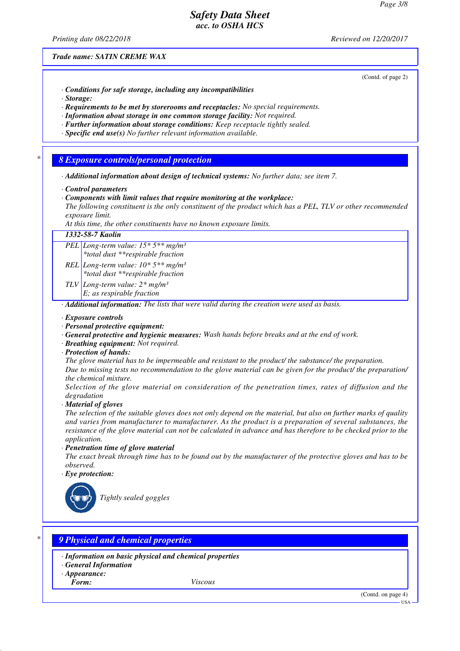*Printing date 08/22/2018 Reviewed on 12/20/2017*

(Contd. of page 2)

*Trade name: SATIN CREME WAX*

- *· Conditions for safe storage, including any incompatibilities*
- *· Storage:*
- *· Requirements to be met by storerooms and receptacles: No special requirements.*
- *· Information about storage in one common storage facility: Not required.*
- *· Further information about storage conditions: Keep receptacle tightly sealed.*
- *· Specific end use(s) No further relevant information available.*

### *\* 8 Exposure controls/personal protection*

- *· Additional information about design of technical systems: No further data; see item 7.*
- *· Control parameters*
- *· Components with limit values that require monitoring at the workplace:*
- *The following constituent is the only constituent of the product which has a PEL, TLV or other recommended exposure limit.*

*At this time, the other constituents have no known exposure limits.*

*1332-58-7 Kaolin PEL Long-term value: 15\* 5\*\* mg/m³ \*total dust \*\*respirable fraction REL Long-term value: 10\* 5\*\* mg/m³ \*total dust \*\*respirable fraction TLV Long-term value: 2\* mg/m³ E; as respirable fraction · Additional information: The lists that were valid during the creation were used as basis.*

#### *· Exposure controls*

- *· Personal protective equipment:*
- *· General protective and hygienic measures: Wash hands before breaks and at the end of work.*
- *· Breathing equipment: Not required.*
- *· Protection of hands:*

*The glove material has to be impermeable and resistant to the product/ the substance/ the preparation.*

*Due to missing tests no recommendation to the glove material can be given for the product/ the preparation/ the chemical mixture.*

*Selection of the glove material on consideration of the penetration times, rates of diffusion and the degradation*

*· Material of gloves*

*The selection of the suitable gloves does not only depend on the material, but also on further marks of quality and varies from manufacturer to manufacturer. As the product is a preparation of several substances, the resistance of the glove material can not be calculated in advance and has therefore to be checked prior to the application.*

#### *· Penetration time of glove material*

*The exact break through time has to be found out by the manufacturer of the protective gloves and has to be observed.*

*· Eye protection:*



*Tightly sealed goggles*

### *\* 9 Physical and chemical properties*

- *· Information on basic physical and chemical properties*
- *· General Information*
- *· Appearance:*

*Form: Viscous*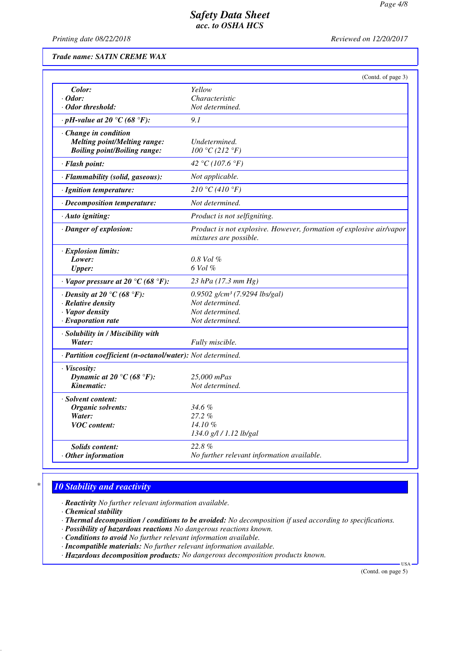*Printing date 08/22/2018 Reviewed on 12/20/2017*

*Trade name: SATIN CREME WAX*

|                                                            | (Contd. of page 3)                                                                            |
|------------------------------------------------------------|-----------------------------------------------------------------------------------------------|
| Color:                                                     | Yellow                                                                                        |
| $\cdot$ Odor:                                              | Characteristic                                                                                |
| · Odor threshold:                                          | Not determined.                                                                               |
| $\cdot$ pH-value at 20 °C (68 °F):                         | 9.1                                                                                           |
| · Change in condition                                      |                                                                                               |
| <b>Melting point/Melting range:</b>                        | Undetermined.                                                                                 |
| <b>Boiling point/Boiling range:</b>                        | 100 °C (212 °F)                                                                               |
| · Flash point:                                             | 42 °C (107.6 °F)                                                                              |
| · Flammability (solid, gaseous):                           | Not applicable.                                                                               |
| · Ignition temperature:                                    | 210 °C (410 °F)                                                                               |
| · Decomposition temperature:                               | Not determined.                                                                               |
| · Auto igniting:                                           | Product is not selfigniting.                                                                  |
| · Danger of explosion:                                     | Product is not explosive. However, formation of explosive air/vapor<br>mixtures are possible. |
| · Explosion limits:                                        |                                                                                               |
| Lower:                                                     | $0.8$ Vol $%$                                                                                 |
| <b>Upper:</b>                                              | $6$ Vol $%$                                                                                   |
| $\cdot$ Vapor pressure at 20 °C (68 °F):                   | 23 hPa (17.3 mm Hg)                                                                           |
| $\cdot$ Density at 20 $\degree$ C (68 $\degree$ F):        | 0.9502 $g/cm^3$ (7.9294 lbs/gal)                                                              |
| $\cdot$ Relative density                                   | Not determined.                                                                               |
| · Vapor density                                            | Not determined.                                                                               |
| $\cdot$ Evaporation rate                                   | Not determined.                                                                               |
| · Solubility in / Miscibility with                         |                                                                                               |
| Water:                                                     | Fully miscible.                                                                               |
| · Partition coefficient (n-octanol/water): Not determined. |                                                                                               |
| · Viscosity:                                               |                                                                                               |
| Dynamic at 20 °C (68 °F):                                  | 25,000 mPas                                                                                   |
| Kinematic:                                                 | Not determined.                                                                               |
| · Solvent content:                                         |                                                                                               |
| Organic solvents:                                          | $34.6\%$                                                                                      |
| Water:                                                     | $27.2\%$                                                                                      |
| <b>VOC</b> content:                                        | 14.10%                                                                                        |
|                                                            | 134.0 g/l / 1.12 lb/gal                                                                       |
| <b>Solids content:</b>                                     | 22.8%                                                                                         |
| $\cdot$ Other information                                  | No further relevant information available.                                                    |

# *\* 10 Stability and reactivity*

*· Reactivity No further relevant information available.*

- *· Thermal decomposition / conditions to be avoided: No decomposition if used according to specifications.*
- *· Possibility of hazardous reactions No dangerous reactions known.*
- *· Conditions to avoid No further relevant information available.*
- *· Incompatible materials: No further relevant information available.*
- *· Hazardous decomposition products: No dangerous decomposition products known.*

(Contd. on page 5)

USA

*<sup>·</sup> Chemical stability*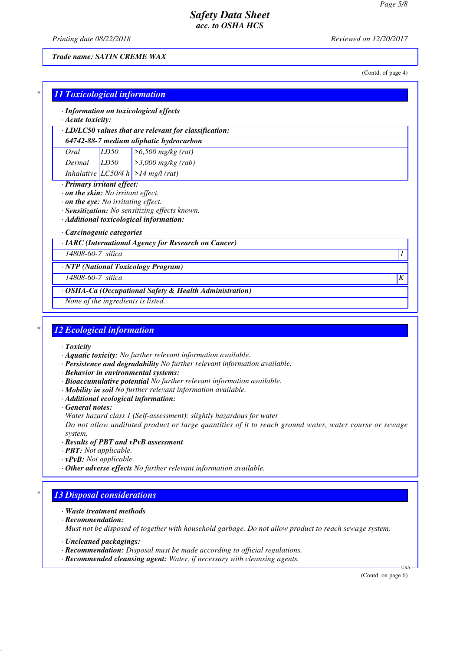*Printing date 08/22/2018 Reviewed on 12/20/2017*

*Trade name: SATIN CREME WAX*

(Contd. of page 4)

| $\cdot$ Acute toxicity: |                   | · Information on toxicological effects                                                    |  |
|-------------------------|-------------------|-------------------------------------------------------------------------------------------|--|
|                         |                   | · LD/LC50 values that are relevant for classification:                                    |  |
|                         |                   | 64742-88-7 medium aliphatic hydrocarbon                                                   |  |
| Oral                    | LD50              | $>6,500$ mg/kg (rat)                                                                      |  |
| Dermal                  | LD50              | $\geq$ 3,000 mg/kg (rab)                                                                  |  |
|                         |                   | Inhalative $ LCS0/4 h  > 14 mg/l$ (rat)                                                   |  |
| Carcinogenic categories |                   | · Sensitization: No sensitizing effects known.<br>· Additional toxicological information: |  |
|                         |                   | · IARC (International Agency for Research on Cancer)                                      |  |
|                         | 14808-60-7 silica |                                                                                           |  |
|                         |                   | · NTP (National Toxicology Program)                                                       |  |
|                         | 14808-60-7 silica |                                                                                           |  |

## *\* 12 Ecological information*

- *· Toxicity*
- *· Aquatic toxicity: No further relevant information available.*
- *· Persistence and degradability No further relevant information available.*
- *· Behavior in environmental systems:*
- *· Bioaccumulative potential No further relevant information available.*
- *· Mobility in soil No further relevant information available.*
- *· Additional ecological information:*

*· General notes:*

*Water hazard class 1 (Self-assessment): slightly hazardous for water*

*Do not allow undiluted product or large quantities of it to reach ground water, water course or sewage system.*

- *· Results of PBT and vPvB assessment*
- *· PBT: Not applicable.*
- *· vPvB: Not applicable.*
- *· Other adverse effects No further relevant information available.*

## *\* 13 Disposal considerations*

- *· Waste treatment methods*
- *· Recommendation:*

*Must not be disposed of together with household garbage. Do not allow product to reach sewage system.*

- *· Uncleaned packagings:*
- *· Recommendation: Disposal must be made according to official regulations.*
- *· Recommended cleansing agent: Water, if necessary with cleansing agents.*

(Contd. on page 6)

USA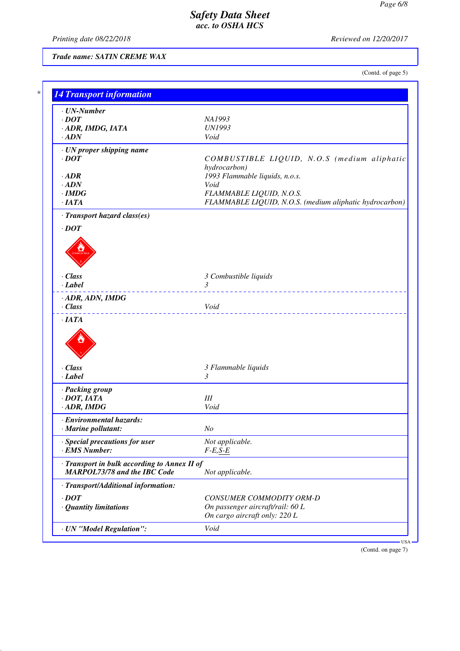*Printing date 08/22/2018 Reviewed on 12/20/2017*

*Trade name: SATIN CREME WAX*

(Contd. of page 5)

| $\cdot$ <i>DOT</i><br>NA1993<br>· ADR, IMDG, IATA<br><b>UN1993</b><br>$\cdot$ ADN<br>Void<br>· UN proper shipping name<br>$\cdot$ DOT<br>hydrocarbon)<br>1993 Flammable liquids, n.o.s.<br>$\cdot$ <i>ADR</i><br>$\cdot$ ADN<br>Void<br>FLAMMABLE LIQUID, N.O.S.<br>$\cdot$ IMDG<br>·IATA<br>· Transport hazard class(es)<br>$\cdot$ DOT<br>· Class<br>3 Combustible liquids<br>$\mathfrak{Z}$<br>$-Label$<br>_________________________________<br>· ADR, ADN, IMDG<br>$\cdot$ Class<br>Void<br><u>.</u><br>$\cdot$ IATA<br>· Class<br>3 Flammable liquids<br>$\cdot$ Label<br>3<br>· Packing group<br>$\cdot$ DOT, IATA<br>III<br>Void<br>$\cdot$ ADR, IMDG<br>· Environmental hazards:<br>N <sub>O</sub><br><b>Marine pollutant:</b><br>· Special precautions for user<br>Not applicable.<br>· EMS Number:<br>$F-E,S-E$<br>· Transport in bulk according to Annex II of<br><b>MARPOL73/78 and the IBC Code</b><br>Not applicable.<br>· Transport/Additional information:<br>$\cdot$ DOT<br>CONSUMER COMMODITY ORM-D<br>On passenger aircraft/rail: 60 L<br>· Quantity limitations<br>On cargo aircraft only: 220 L<br>· UN "Model Regulation":<br>Void | $\cdot$ UN-Number |  |
|----------------------------------------------------------------------------------------------------------------------------------------------------------------------------------------------------------------------------------------------------------------------------------------------------------------------------------------------------------------------------------------------------------------------------------------------------------------------------------------------------------------------------------------------------------------------------------------------------------------------------------------------------------------------------------------------------------------------------------------------------------------------------------------------------------------------------------------------------------------------------------------------------------------------------------------------------------------------------------------------------------------------------------------------------------------------------------------------------------------------------------------------------------|-------------------|--|
|                                                                                                                                                                                                                                                                                                                                                                                                                                                                                                                                                                                                                                                                                                                                                                                                                                                                                                                                                                                                                                                                                                                                                          |                   |  |
|                                                                                                                                                                                                                                                                                                                                                                                                                                                                                                                                                                                                                                                                                                                                                                                                                                                                                                                                                                                                                                                                                                                                                          |                   |  |
|                                                                                                                                                                                                                                                                                                                                                                                                                                                                                                                                                                                                                                                                                                                                                                                                                                                                                                                                                                                                                                                                                                                                                          |                   |  |
| COMBUSTIBLE LIQUID, N.O.S (medium aliphatic<br>FLAMMABLE LIQUID, N.O.S. (medium aliphatic hydrocarbon)                                                                                                                                                                                                                                                                                                                                                                                                                                                                                                                                                                                                                                                                                                                                                                                                                                                                                                                                                                                                                                                   |                   |  |
|                                                                                                                                                                                                                                                                                                                                                                                                                                                                                                                                                                                                                                                                                                                                                                                                                                                                                                                                                                                                                                                                                                                                                          |                   |  |
|                                                                                                                                                                                                                                                                                                                                                                                                                                                                                                                                                                                                                                                                                                                                                                                                                                                                                                                                                                                                                                                                                                                                                          |                   |  |
|                                                                                                                                                                                                                                                                                                                                                                                                                                                                                                                                                                                                                                                                                                                                                                                                                                                                                                                                                                                                                                                                                                                                                          |                   |  |
|                                                                                                                                                                                                                                                                                                                                                                                                                                                                                                                                                                                                                                                                                                                                                                                                                                                                                                                                                                                                                                                                                                                                                          |                   |  |
|                                                                                                                                                                                                                                                                                                                                                                                                                                                                                                                                                                                                                                                                                                                                                                                                                                                                                                                                                                                                                                                                                                                                                          |                   |  |
|                                                                                                                                                                                                                                                                                                                                                                                                                                                                                                                                                                                                                                                                                                                                                                                                                                                                                                                                                                                                                                                                                                                                                          |                   |  |
|                                                                                                                                                                                                                                                                                                                                                                                                                                                                                                                                                                                                                                                                                                                                                                                                                                                                                                                                                                                                                                                                                                                                                          |                   |  |
|                                                                                                                                                                                                                                                                                                                                                                                                                                                                                                                                                                                                                                                                                                                                                                                                                                                                                                                                                                                                                                                                                                                                                          |                   |  |
|                                                                                                                                                                                                                                                                                                                                                                                                                                                                                                                                                                                                                                                                                                                                                                                                                                                                                                                                                                                                                                                                                                                                                          |                   |  |
|                                                                                                                                                                                                                                                                                                                                                                                                                                                                                                                                                                                                                                                                                                                                                                                                                                                                                                                                                                                                                                                                                                                                                          |                   |  |
|                                                                                                                                                                                                                                                                                                                                                                                                                                                                                                                                                                                                                                                                                                                                                                                                                                                                                                                                                                                                                                                                                                                                                          |                   |  |
|                                                                                                                                                                                                                                                                                                                                                                                                                                                                                                                                                                                                                                                                                                                                                                                                                                                                                                                                                                                                                                                                                                                                                          |                   |  |
|                                                                                                                                                                                                                                                                                                                                                                                                                                                                                                                                                                                                                                                                                                                                                                                                                                                                                                                                                                                                                                                                                                                                                          |                   |  |
|                                                                                                                                                                                                                                                                                                                                                                                                                                                                                                                                                                                                                                                                                                                                                                                                                                                                                                                                                                                                                                                                                                                                                          |                   |  |
|                                                                                                                                                                                                                                                                                                                                                                                                                                                                                                                                                                                                                                                                                                                                                                                                                                                                                                                                                                                                                                                                                                                                                          |                   |  |
|                                                                                                                                                                                                                                                                                                                                                                                                                                                                                                                                                                                                                                                                                                                                                                                                                                                                                                                                                                                                                                                                                                                                                          |                   |  |
|                                                                                                                                                                                                                                                                                                                                                                                                                                                                                                                                                                                                                                                                                                                                                                                                                                                                                                                                                                                                                                                                                                                                                          |                   |  |
|                                                                                                                                                                                                                                                                                                                                                                                                                                                                                                                                                                                                                                                                                                                                                                                                                                                                                                                                                                                                                                                                                                                                                          |                   |  |
|                                                                                                                                                                                                                                                                                                                                                                                                                                                                                                                                                                                                                                                                                                                                                                                                                                                                                                                                                                                                                                                                                                                                                          |                   |  |
|                                                                                                                                                                                                                                                                                                                                                                                                                                                                                                                                                                                                                                                                                                                                                                                                                                                                                                                                                                                                                                                                                                                                                          |                   |  |
|                                                                                                                                                                                                                                                                                                                                                                                                                                                                                                                                                                                                                                                                                                                                                                                                                                                                                                                                                                                                                                                                                                                                                          |                   |  |
|                                                                                                                                                                                                                                                                                                                                                                                                                                                                                                                                                                                                                                                                                                                                                                                                                                                                                                                                                                                                                                                                                                                                                          |                   |  |
|                                                                                                                                                                                                                                                                                                                                                                                                                                                                                                                                                                                                                                                                                                                                                                                                                                                                                                                                                                                                                                                                                                                                                          |                   |  |
|                                                                                                                                                                                                                                                                                                                                                                                                                                                                                                                                                                                                                                                                                                                                                                                                                                                                                                                                                                                                                                                                                                                                                          |                   |  |
|                                                                                                                                                                                                                                                                                                                                                                                                                                                                                                                                                                                                                                                                                                                                                                                                                                                                                                                                                                                                                                                                                                                                                          |                   |  |
|                                                                                                                                                                                                                                                                                                                                                                                                                                                                                                                                                                                                                                                                                                                                                                                                                                                                                                                                                                                                                                                                                                                                                          |                   |  |
|                                                                                                                                                                                                                                                                                                                                                                                                                                                                                                                                                                                                                                                                                                                                                                                                                                                                                                                                                                                                                                                                                                                                                          |                   |  |
|                                                                                                                                                                                                                                                                                                                                                                                                                                                                                                                                                                                                                                                                                                                                                                                                                                                                                                                                                                                                                                                                                                                                                          |                   |  |
|                                                                                                                                                                                                                                                                                                                                                                                                                                                                                                                                                                                                                                                                                                                                                                                                                                                                                                                                                                                                                                                                                                                                                          |                   |  |
|                                                                                                                                                                                                                                                                                                                                                                                                                                                                                                                                                                                                                                                                                                                                                                                                                                                                                                                                                                                                                                                                                                                                                          |                   |  |
|                                                                                                                                                                                                                                                                                                                                                                                                                                                                                                                                                                                                                                                                                                                                                                                                                                                                                                                                                                                                                                                                                                                                                          |                   |  |
|                                                                                                                                                                                                                                                                                                                                                                                                                                                                                                                                                                                                                                                                                                                                                                                                                                                                                                                                                                                                                                                                                                                                                          |                   |  |

(Contd. on page 7)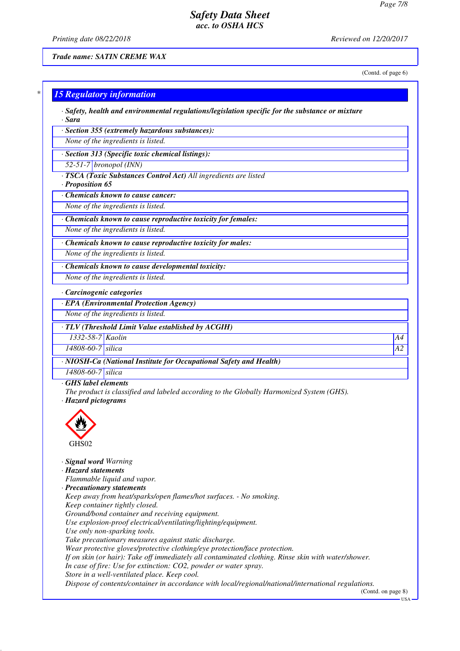*Printing date 08/22/2018 Reviewed on 12/20/2017*

*Trade name: SATIN CREME WAX*

(Contd. of page 6)

|                                              | · Safety, health and environmental regulations/legislation specific for the substance or mixture                                                                                                          |  |
|----------------------------------------------|-----------------------------------------------------------------------------------------------------------------------------------------------------------------------------------------------------------|--|
| · Sara                                       |                                                                                                                                                                                                           |  |
|                                              | · Section 355 (extremely hazardous substances):                                                                                                                                                           |  |
|                                              | None of the ingredients is listed.                                                                                                                                                                        |  |
|                                              | · Section 313 (Specific toxic chemical listings):                                                                                                                                                         |  |
|                                              | $52-51-7$ bronopol (INN)                                                                                                                                                                                  |  |
|                                              | · TSCA (Toxic Substances Control Act) All ingredients are listed                                                                                                                                          |  |
| · Proposition 65                             |                                                                                                                                                                                                           |  |
|                                              | Chemicals known to cause cancer:                                                                                                                                                                          |  |
|                                              | None of the ingredients is listed.                                                                                                                                                                        |  |
|                                              | · Chemicals known to cause reproductive toxicity for females:                                                                                                                                             |  |
|                                              | None of the ingredients is listed.                                                                                                                                                                        |  |
|                                              | · Chemicals known to cause reproductive toxicity for males:                                                                                                                                               |  |
|                                              | None of the ingredients is listed.                                                                                                                                                                        |  |
|                                              |                                                                                                                                                                                                           |  |
|                                              | · Chemicals known to cause developmental toxicity:                                                                                                                                                        |  |
|                                              | None of the ingredients is listed.                                                                                                                                                                        |  |
|                                              | · Carcinogenic categories                                                                                                                                                                                 |  |
|                                              | · EPA (Environmental Protection Agency)                                                                                                                                                                   |  |
|                                              | None of the ingredients is listed.                                                                                                                                                                        |  |
|                                              | · TLV (Threshold Limit Value established by ACGIH)                                                                                                                                                        |  |
| 1332-58-7 Kaolin                             |                                                                                                                                                                                                           |  |
| $\overline{14808-60}$ -7 silica              |                                                                                                                                                                                                           |  |
|                                              |                                                                                                                                                                                                           |  |
|                                              | · NIOSH-Ca (National Institute for Occupational Safety and Health)                                                                                                                                        |  |
| 14808-60-7 silica<br>GHS label elements      |                                                                                                                                                                                                           |  |
| · Hazard pictograms<br>GHS02                 | The product is classified and labeled according to the Globally Harmonized System (GHS).                                                                                                                  |  |
| · Signal word Warning<br>· Hazard statements | Flammable liquid and vapor.<br>· Precautionary statements                                                                                                                                                 |  |
|                                              | Keep away from heat/sparks/open flames/hot surfaces. - No smoking.<br>Keep container tightly closed.                                                                                                      |  |
|                                              |                                                                                                                                                                                                           |  |
|                                              | Ground/bond container and receiving equipment.<br>Use explosion-proof electrical/ventilating/lighting/equipment.<br>Use only non-sparking tools.<br>Take precautionary measures against static discharge. |  |

*If on skin (or hair): Take off immediately all contaminated clothing. Rinse skin with water/shower.*

*In case of fire: Use for extinction: CO2, powder or water spray.*

*Store in a well-ventilated place. Keep cool.*

*Dispose of contents/container in accordance with local/regional/national/international regulations.*

(Contd. on page 8)

 $-<sup>USA</sup>$